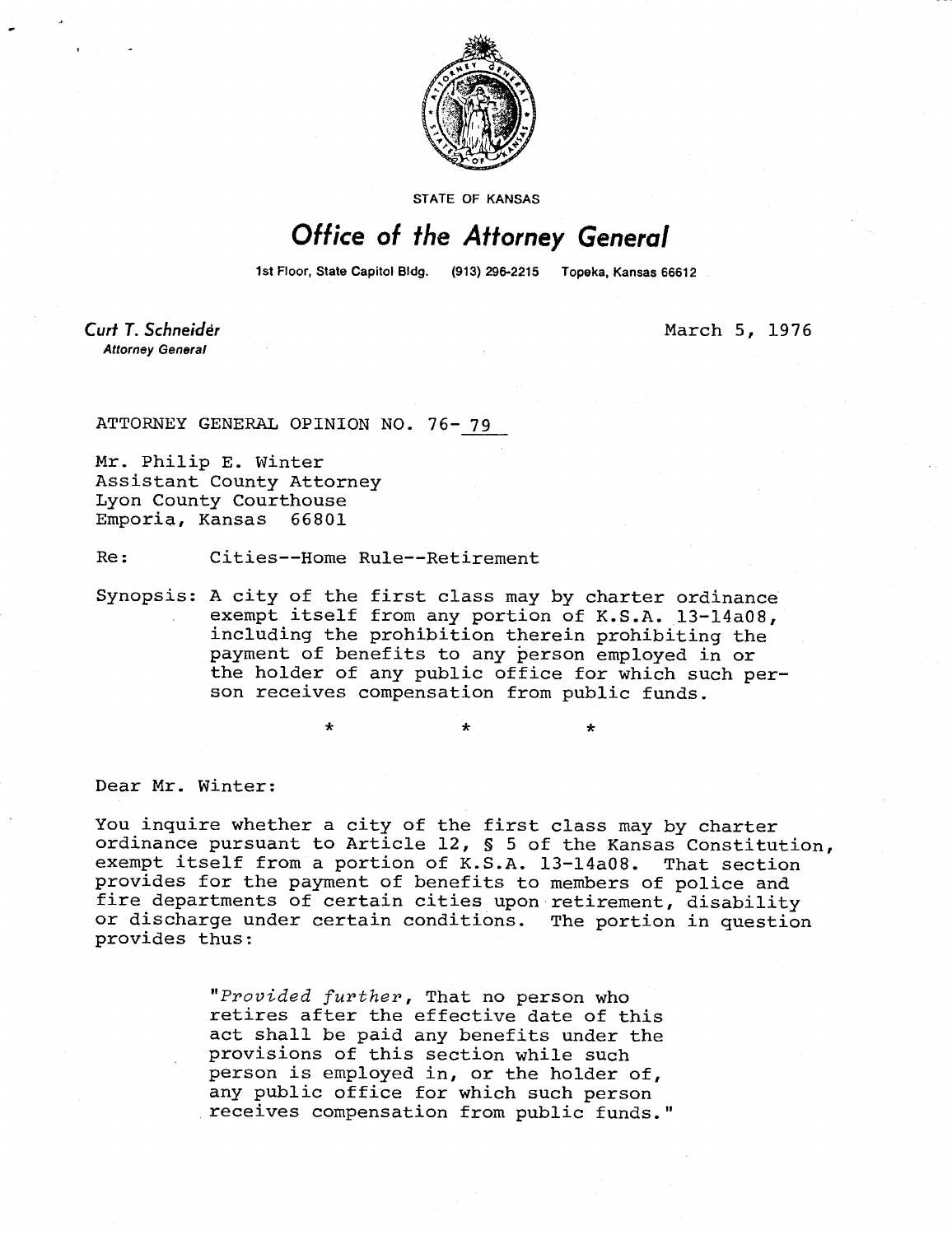

STATE OF KANSAS

## Office of the Attorney General

1st Floor, State Capitol Bldg. (913) 296-2215 Topeka, Kansas 66612

Curt T. Schneider **Attorney General** 

March 5, 1976

ATTORNEY GENERAL OPINION NO. 76- 79

Mr. Philip E. Winter Assistant County Attorney Lyon County Courthouse Emporia, Kansas 66801

Re: Cities--Home Rule--Retirement

Synopsis: A city of the first class may by charter ordinance exempt itself from any portion of K.S.A. 13-14a08, including the prohibition therein prohibiting the payment of benefits to any person employed in or the holder of any public office for which such person receives compensation from public funds.

Dear Mr. Winter:

You inquire whether a city of the first class may by charter ordinance pursuant to Article 12, § 5 of the Kansas Constitution, exempt itself from a portion of K.S.A. 13-14a08. That section provides for the payment of benefits to members of police and fire departments of certain cities upon retirement, disability or discharge under certain conditions. The portion in question provides thus:

> "Provided further, That no person who retires after the effective date of this act shall be paid any benefits under the provisions of this section while such person is employed in, or the holder of, any public office for which such person receives compensation from public funds."